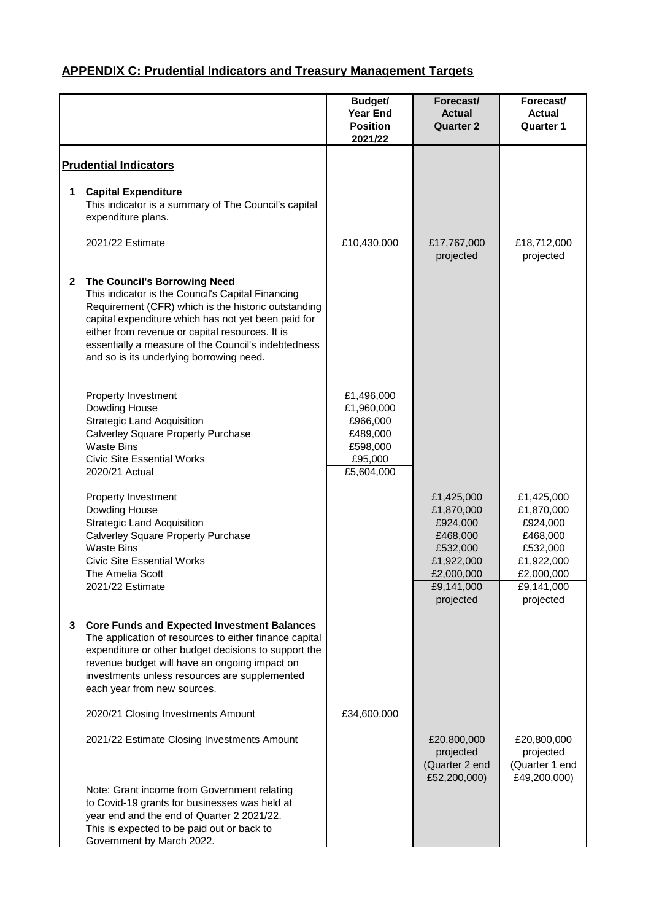|              |                                                                                                                                                                                                                                                                                                                                                              | <b>Budget/</b><br><b>Year End</b><br><b>Position</b><br>2021/22                       | Forecast/<br><b>Actual</b><br><b>Quarter 2</b>                                                         | Forecast/<br><b>Actual</b><br><b>Quarter 1</b>                                                         |
|--------------|--------------------------------------------------------------------------------------------------------------------------------------------------------------------------------------------------------------------------------------------------------------------------------------------------------------------------------------------------------------|---------------------------------------------------------------------------------------|--------------------------------------------------------------------------------------------------------|--------------------------------------------------------------------------------------------------------|
|              | <b>Prudential Indicators</b>                                                                                                                                                                                                                                                                                                                                 |                                                                                       |                                                                                                        |                                                                                                        |
| 1            | <b>Capital Expenditure</b><br>This indicator is a summary of The Council's capital<br>expenditure plans.                                                                                                                                                                                                                                                     |                                                                                       |                                                                                                        |                                                                                                        |
|              | 2021/22 Estimate                                                                                                                                                                                                                                                                                                                                             | £10,430,000                                                                           | £17,767,000<br>projected                                                                               | £18,712,000<br>projected                                                                               |
| $\mathbf{2}$ | <b>The Council's Borrowing Need</b><br>This indicator is the Council's Capital Financing<br>Requirement (CFR) which is the historic outstanding<br>capital expenditure which has not yet been paid for<br>either from revenue or capital resources. It is<br>essentially a measure of the Council's indebtedness<br>and so is its underlying borrowing need. |                                                                                       |                                                                                                        |                                                                                                        |
|              | Property Investment<br>Dowding House<br><b>Strategic Land Acquisition</b><br><b>Calverley Square Property Purchase</b><br><b>Waste Bins</b><br><b>Civic Site Essential Works</b><br>2020/21 Actual                                                                                                                                                           | £1,496,000<br>£1,960,000<br>£966,000<br>£489,000<br>£598,000<br>£95,000<br>£5,604,000 |                                                                                                        |                                                                                                        |
|              | <b>Property Investment</b><br>Dowding House<br><b>Strategic Land Acquisition</b><br><b>Calverley Square Property Purchase</b><br><b>Waste Bins</b><br><b>Civic Site Essential Works</b><br>The Amelia Scott<br>2021/22 Estimate                                                                                                                              |                                                                                       | £1,425,000<br>£1,870,000<br>£924,000<br>£468,000<br>£532,000<br>£1,922,000<br>£2,000,000<br>£9,141,000 | £1,425,000<br>£1,870,000<br>£924,000<br>£468,000<br>£532,000<br>£1,922,000<br>£2,000,000<br>£9,141,000 |
| 3.           | <b>Core Funds and Expected Investment Balances</b><br>The application of resources to either finance capital<br>expenditure or other budget decisions to support the<br>revenue budget will have an ongoing impact on<br>investments unless resources are supplemented<br>each year from new sources.                                                        |                                                                                       | projected                                                                                              | projected                                                                                              |
|              | 2020/21 Closing Investments Amount                                                                                                                                                                                                                                                                                                                           | £34,600,000                                                                           |                                                                                                        |                                                                                                        |
|              | 2021/22 Estimate Closing Investments Amount                                                                                                                                                                                                                                                                                                                  |                                                                                       | £20,800,000<br>projected<br>(Quarter 2 end<br>£52,200,000)                                             | £20,800,000<br>projected<br>(Quarter 1 end<br>£49,200,000)                                             |
|              | Note: Grant income from Government relating<br>to Covid-19 grants for businesses was held at<br>year end and the end of Quarter 2 2021/22.<br>This is expected to be paid out or back to<br>Government by March 2022.                                                                                                                                        |                                                                                       |                                                                                                        |                                                                                                        |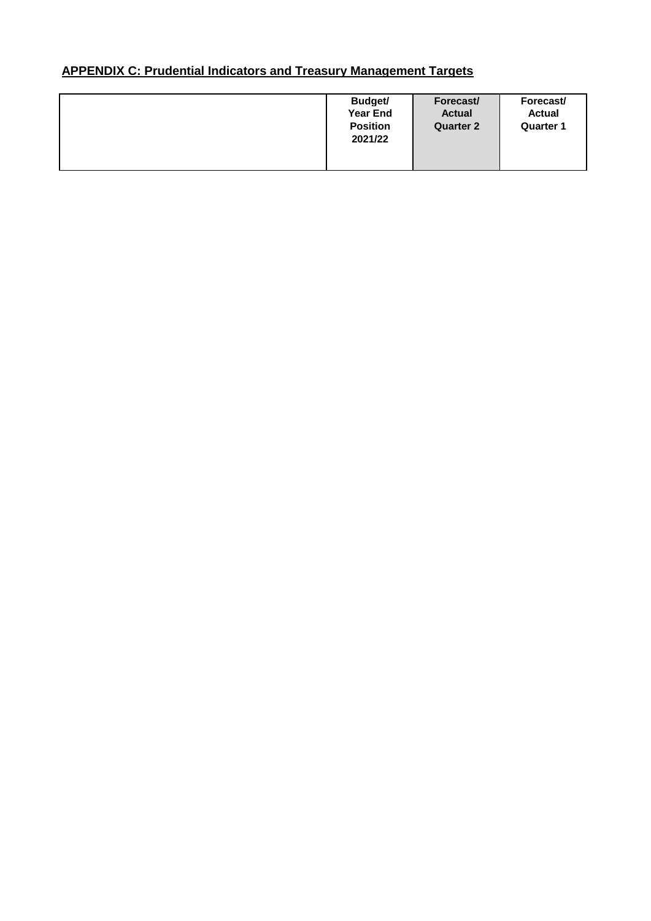| Budget/<br><b>Year End</b><br><b>Position</b><br>2021/22 | Forecast/<br><b>Actual</b><br><b>Quarter 2</b> | Forecast/<br><b>Actual</b><br><b>Quarter 1</b> |
|----------------------------------------------------------|------------------------------------------------|------------------------------------------------|
|                                                          |                                                |                                                |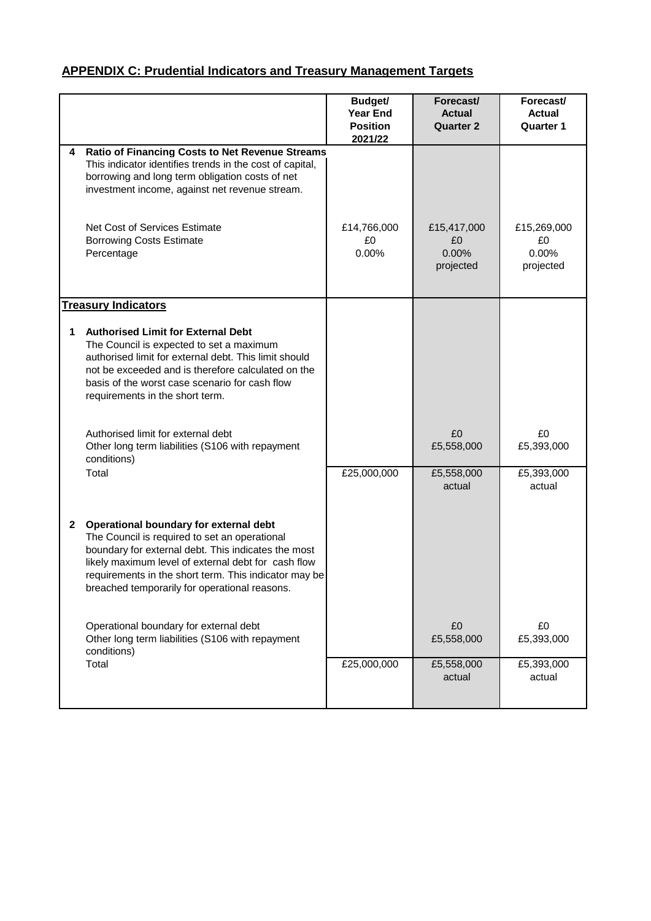|              |                                                                                                                                                                                                                                                                                                                 | Budget/<br><b>Year End</b><br><b>Position</b><br>2021/22 | Forecast/<br><b>Actual</b><br><b>Quarter 2</b> | Forecast/<br><b>Actual</b><br><b>Quarter 1</b> |
|--------------|-----------------------------------------------------------------------------------------------------------------------------------------------------------------------------------------------------------------------------------------------------------------------------------------------------------------|----------------------------------------------------------|------------------------------------------------|------------------------------------------------|
| 4            | <b>Ratio of Financing Costs to Net Revenue Streams</b><br>This indicator identifies trends in the cost of capital,<br>borrowing and long term obligation costs of net<br>investment income, against net revenue stream.                                                                                         |                                                          |                                                |                                                |
|              | Net Cost of Services Estimate<br><b>Borrowing Costs Estimate</b><br>Percentage                                                                                                                                                                                                                                  | £14,766,000<br>£0<br>0.00%                               | £15,417,000<br>£0<br>0.00%<br>projected        | £15,269,000<br>£0<br>0.00%<br>projected        |
|              | <b>Treasury Indicators</b>                                                                                                                                                                                                                                                                                      |                                                          |                                                |                                                |
| 1            | <b>Authorised Limit for External Debt</b><br>The Council is expected to set a maximum<br>authorised limit for external debt. This limit should<br>not be exceeded and is therefore calculated on the<br>basis of the worst case scenario for cash flow<br>requirements in the short term.                       |                                                          |                                                |                                                |
|              | Authorised limit for external debt<br>Other long term liabilities (S106 with repayment<br>conditions)                                                                                                                                                                                                           |                                                          | £0<br>£5,558,000                               | £0<br>£5,393,000                               |
|              | Total                                                                                                                                                                                                                                                                                                           | £25,000,000                                              | £5,558,000<br>actual                           | £5,393,000<br>actual                           |
| $\mathbf{2}$ | Operational boundary for external debt<br>The Council is required to set an operational<br>boundary for external debt. This indicates the most<br>likely maximum level of external debt for cash flow<br>requirements in the short term. This indicator may be<br>breached temporarily for operational reasons. |                                                          |                                                |                                                |
|              | Operational boundary for external debt<br>Other long term liabilities (S106 with repayment<br>conditions)                                                                                                                                                                                                       |                                                          | £0<br>£5,558,000                               | £0<br>£5,393,000                               |
|              | Total                                                                                                                                                                                                                                                                                                           | £25,000,000                                              | £5,558,000<br>actual                           | £5,393,000<br>actual                           |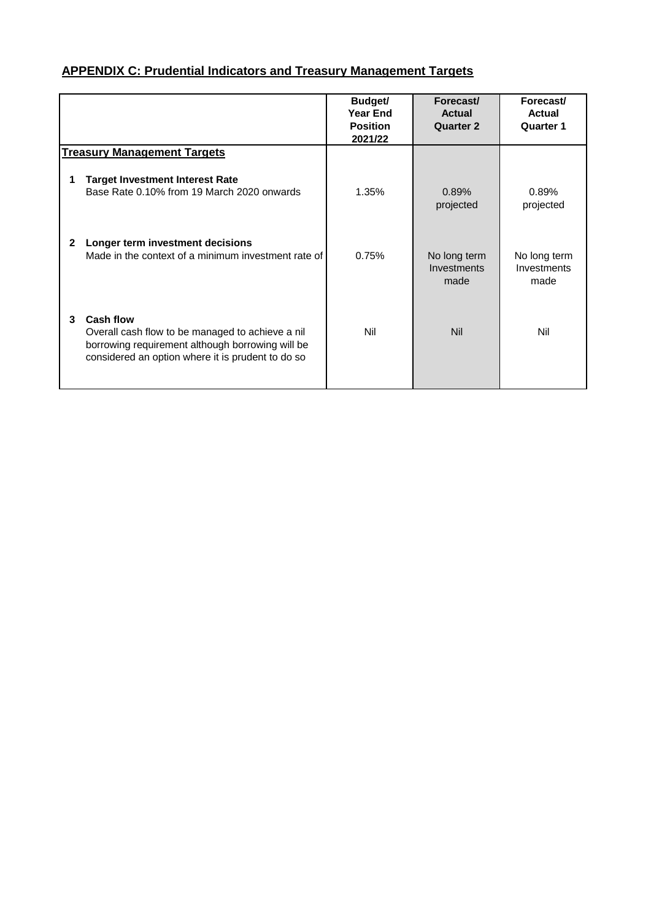|   |                                                                                                                                                                               | Budget/<br><b>Year End</b><br><b>Position</b><br>2021/22 | Forecast/<br><b>Actual</b><br><b>Quarter 2</b> | Forecast/<br><b>Actual</b><br><b>Quarter 1</b> |
|---|-------------------------------------------------------------------------------------------------------------------------------------------------------------------------------|----------------------------------------------------------|------------------------------------------------|------------------------------------------------|
|   | <b>Treasury Management Targets</b>                                                                                                                                            |                                                          |                                                |                                                |
|   | <b>Target Investment Interest Rate</b><br>Base Rate 0.10% from 19 March 2020 onwards                                                                                          | 1.35%                                                    | 0.89%<br>projected                             | 0.89%<br>projected                             |
| 2 | Longer term investment decisions<br>Made in the context of a minimum investment rate of                                                                                       | 0.75%                                                    | No long term<br>Investments<br>made            | No long term<br>Investments<br>made            |
| 3 | <b>Cash flow</b><br>Overall cash flow to be managed to achieve a nil<br>borrowing requirement although borrowing will be<br>considered an option where it is prudent to do so | Nil                                                      | <b>Nil</b>                                     | Nil                                            |